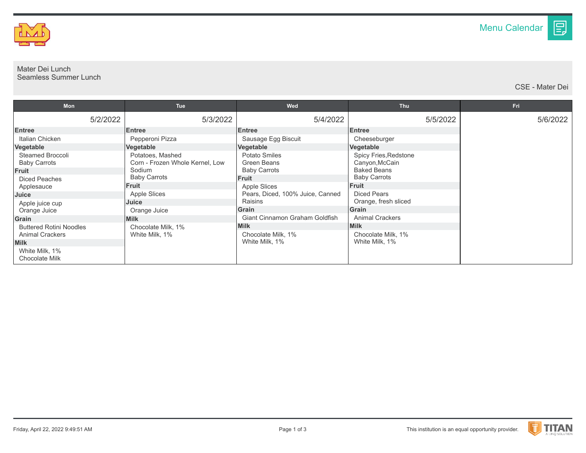

## Mater Dei Lunch Seamless Summer Lunch

CSE - Mater Dei

目

| Mon                                                                     | <b>Tue</b>                                          | Wed                                                 | <b>Thu</b>                                          | Fri      |
|-------------------------------------------------------------------------|-----------------------------------------------------|-----------------------------------------------------|-----------------------------------------------------|----------|
| 5/2/2022                                                                | 5/3/2022                                            | 5/4/2022                                            | 5/5/2022                                            | 5/6/2022 |
| <b>Entree</b>                                                           | <b>Entree</b>                                       | <b>Entree</b>                                       | <b>Entree</b>                                       |          |
| Italian Chicken                                                         | Pepperoni Pizza                                     | Sausage Egg Biscuit                                 | Cheeseburger                                        |          |
| Vegetable                                                               | Vegetable                                           | Vegetable                                           | Vegetable                                           |          |
| Steamed Broccoli<br><b>Baby Carrots</b>                                 | Potatoes, Mashed<br>Corn - Frozen Whole Kernel, Low | Potato Smiles<br>Green Beans                        | Spicy Fries, Redstone<br>Canyon, McCain             |          |
| Fruit                                                                   | Sodium<br><b>Baby Carrots</b>                       | <b>Baby Carrots</b>                                 | <b>Baked Beans</b><br><b>Baby Carrots</b>           |          |
| <b>Diced Peaches</b><br>Applesauce                                      | <b>Fruit</b>                                        | <b>Fruit</b><br>Apple Slices                        | <b>Fruit</b>                                        |          |
| Juice                                                                   | Apple Slices                                        | Pears, Diced, 100% Juice, Canned                    | <b>Diced Pears</b>                                  |          |
| Apple juice cup                                                         | Juice                                               | Raisins                                             | Orange, fresh sliced                                |          |
| Orange Juice                                                            | Orange Juice                                        | Grain                                               | Grain                                               |          |
| Grain                                                                   | <b>Milk</b>                                         | Giant Cinnamon Graham Goldfish                      | <b>Animal Crackers</b>                              |          |
| <b>Buttered Rotini Noodles</b><br><b>Animal Crackers</b><br><b>Milk</b> | Chocolate Milk, 1%<br>White Milk, 1%                | <b>Milk</b><br>Chocolate Milk, 1%<br>White Milk, 1% | <b>Milk</b><br>Chocolate Milk, 1%<br>White Milk, 1% |          |
| White Milk, 1%<br>Chocolate Milk                                        |                                                     |                                                     |                                                     |          |

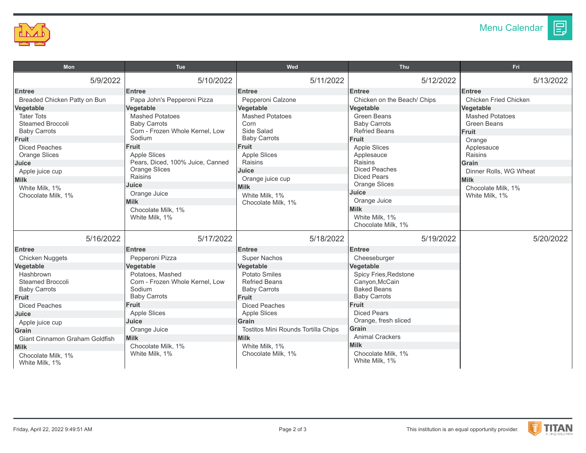

圓

| Mon                                                                                                                                                                                                                                                                           | <b>Tue</b>                                                                                                                                                                                                                                                                                                                              | Wed                                                                                                                                                                                                                                                   | Thu                                                                                                                                                                                                                                                                                                                            | Fri                                                                                                                                                                                                                                              |
|-------------------------------------------------------------------------------------------------------------------------------------------------------------------------------------------------------------------------------------------------------------------------------|-----------------------------------------------------------------------------------------------------------------------------------------------------------------------------------------------------------------------------------------------------------------------------------------------------------------------------------------|-------------------------------------------------------------------------------------------------------------------------------------------------------------------------------------------------------------------------------------------------------|--------------------------------------------------------------------------------------------------------------------------------------------------------------------------------------------------------------------------------------------------------------------------------------------------------------------------------|--------------------------------------------------------------------------------------------------------------------------------------------------------------------------------------------------------------------------------------------------|
| 5/9/2022                                                                                                                                                                                                                                                                      | 5/10/2022                                                                                                                                                                                                                                                                                                                               | 5/11/2022                                                                                                                                                                                                                                             | 5/12/2022                                                                                                                                                                                                                                                                                                                      | 5/13/2022                                                                                                                                                                                                                                        |
| <b>Entree</b><br>Breaded Chicken Patty on Bun<br>Vegetable<br><b>Tater Tots</b><br><b>Steamed Broccoli</b><br><b>Baby Carrots</b><br>Fruit<br><b>Diced Peaches</b><br><b>Orange Slices</b><br>Juice<br>Apple juice cup<br><b>Milk</b><br>White Milk, 1%<br>Chocolate Milk, 1% | <b>Entree</b><br>Papa John's Pepperoni Pizza<br>Vegetable<br><b>Mashed Potatoes</b><br><b>Baby Carrots</b><br>Corn - Frozen Whole Kernel, Low<br>Sodium<br>Fruit<br>Apple Slices<br>Pears, Diced, 100% Juice, Canned<br><b>Orange Slices</b><br>Raisins<br>Juice<br>Orange Juice<br><b>Milk</b><br>Chocolate Milk, 1%<br>White Milk, 1% | <b>Entree</b><br>Pepperoni Calzone<br>Vegetable<br><b>Mashed Potatoes</b><br>Corn<br>Side Salad<br><b>Baby Carrots</b><br><b>Fruit</b><br>Apple Slices<br>Raisins<br>Juice<br>Orange juice cup<br><b>Milk</b><br>White Milk, 1%<br>Chocolate Milk, 1% | <b>Entree</b><br>Chicken on the Beach/ Chips<br>Vegetable<br><b>Green Beans</b><br><b>Baby Carrots</b><br><b>Refried Beans</b><br><b>Fruit</b><br><b>Apple Slices</b><br>Applesauce<br>Raisins<br><b>Diced Peaches</b><br><b>Diced Pears</b><br><b>Orange Slices</b><br>Juice<br>Orange Juice<br><b>Milk</b><br>White Milk, 1% | <b>Entree</b><br>Chicken Fried Chicken<br>Vegetable<br><b>Mashed Potatoes</b><br><b>Green Beans</b><br><b>Fruit</b><br>Orange<br>Applesauce<br>Raisins<br>Grain<br>Dinner Rolls, WG Wheat<br><b>Milk</b><br>Chocolate Milk, 1%<br>White Milk, 1% |
| 5/16/2022                                                                                                                                                                                                                                                                     | 5/17/2022                                                                                                                                                                                                                                                                                                                               | 5/18/2022                                                                                                                                                                                                                                             | Chocolate Milk, 1%<br>5/19/2022                                                                                                                                                                                                                                                                                                | 5/20/2022                                                                                                                                                                                                                                        |
| <b>Entree</b><br>Chicken Nuggets<br>Vegetable<br>Hashbrown<br><b>Steamed Broccoli</b>                                                                                                                                                                                         | <b>Entree</b><br>Pepperoni Pizza<br>Vegetable<br>Potatoes, Mashed<br>Corn - Frozen Whole Kernel, Low                                                                                                                                                                                                                                    | <b>Entree</b><br><b>Super Nachos</b><br>Vegetable<br>Potato Smiles<br><b>Refried Beans</b>                                                                                                                                                            | <b>Entree</b><br>Cheeseburger<br>Vegetable<br>Spicy Fries, Redstone<br>Canyon, McCain                                                                                                                                                                                                                                          |                                                                                                                                                                                                                                                  |
| <b>Baby Carrots</b><br>Fruit<br><b>Diced Peaches</b>                                                                                                                                                                                                                          | Sodium<br><b>Baby Carrots</b><br>Fruit                                                                                                                                                                                                                                                                                                  | <b>Baby Carrots</b><br><b>Fruit</b><br><b>Diced Peaches</b>                                                                                                                                                                                           | <b>Baked Beans</b><br><b>Baby Carrots</b><br><b>Fruit</b>                                                                                                                                                                                                                                                                      |                                                                                                                                                                                                                                                  |
| Juice<br>Apple juice cup<br>Grain<br>Giant Cinnamon Graham Goldfish<br><b>Milk</b><br>Chocolate Milk. 1%<br>White Milk, 1%                                                                                                                                                    | <b>Apple Slices</b><br>Juice<br>Orange Juice<br><b>Milk</b><br>Chocolate Milk, 1%<br>White Milk, 1%                                                                                                                                                                                                                                     | <b>Apple Slices</b><br>Grain<br>Tostitos Mini Rounds Tortilla Chips<br><b>Milk</b><br>White Milk, 1%<br>Chocolate Milk, 1%                                                                                                                            | <b>Diced Pears</b><br>Orange, fresh sliced<br>Grain<br><b>Animal Crackers</b><br><b>Milk</b><br>Chocolate Milk, 1%<br>White Milk, 1%                                                                                                                                                                                           |                                                                                                                                                                                                                                                  |